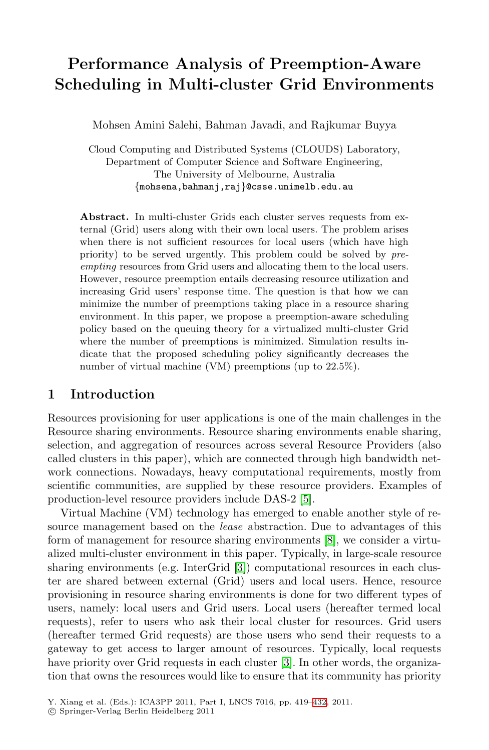# **Performance Analysis of Preemption-Aware Scheduling in Multi-cluster Grid Environments**

Mohsen Amini Salehi, Bahman Javadi, and Rajkumar Buyya

Cloud Computing and Distributed Systems (CLOUDS) Laboratory, Department of Computer Science and Software Engineering, The University of Melbourne, Australia {mohsena,bahmanj,raj}@csse.unimelb.edu.au

**Abstract.** In multi-cluster Grids each cluster serves requests from external (Grid) users along with their own local users. The problem arises when there is not sufficient resources for local users (which have high priority) to be served urgently. This problem could be solved by *preempting* resources from Grid users and allocating them to the local users. However, resource preemption entails decreasing resource utilization and increasing Grid users' response time. The question is that how we can minimize the number of preemptions taking place in a resource sharing environment. In this paper, we propose a preemption-aware scheduling policy based on the queuing theory for a virtualized multi-cluster Grid where the number of preemptions is minimized. Simulation results indicate that the proposed scheduling policy significantly decreases the number of virtual machine (VM) preemptions (up to 22.5%).

## **1 Introduction**

Resources provisioning for user applications is one of the main challenges in the Resource sharing environments. Resource sharing environments enable sharing, selection, and aggregation of resources across several Resource Providers (also called clusters in this paper), which are connected through high bandwidth network connections. Nowadays, heavy computational requirements, mostly from scientific communities, are supplied by these resource providers. Examples of production-level resource providers include DAS-2 [\[5\]](#page-13-0).

Virtual Machine (VM) technology has emerged to enable another style of resource management based on the *lease* abstraction. Due to advantages of this form of management for resource sharing environments [\[8\]](#page-13-1), we consider a virtualized multi-cluster environment in this paper. Typically, in large-scale resource sharing environments (e.g. InterGrid [\[3\]](#page-12-0)) computational resources in each cluster are shared between external (Grid) users and local users. Hence, resource provisioning in resource sharing environments is done for two different types of users, namely: local users and Grid users. Local users (hereafter termed local requests), refer to users who ask their local cluster for resources. Grid users (hereafter termed Grid requests) are those users who send their requests to a gateway to get access to larger amount of resources. Typically, local requests have priority over Grid requests in each cluster [\[3\]](#page-12-0). In other words, the organization that owns the resources would like to ensure that its community has priority

Y. Xiang et al. (Eds.): ICA3PP 2011, Part I, LNCS 7016, pp. 419[–432](#page-13-2), 2011.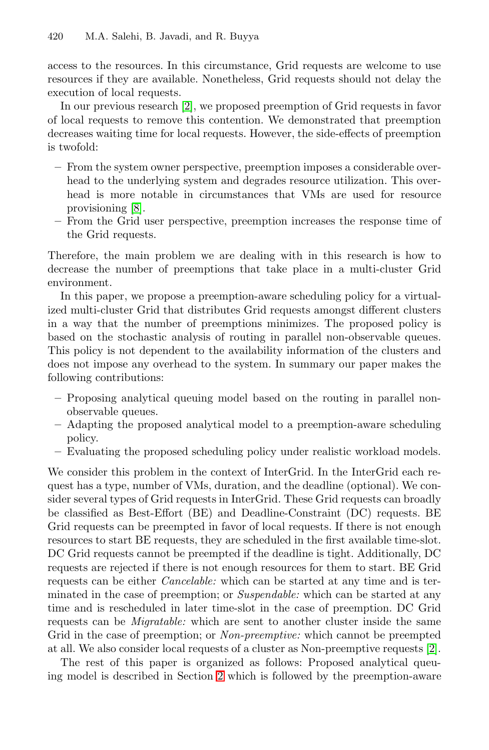access to the resources. In this circumstance, Grid requests are welcome to use resources if they are available. Nonetheless, Grid requests should not delay the execution of local requests.

In our previous research [\[2\]](#page-12-1), we proposed preemption of Grid requests in favor of local requests to remove this contention. We demonstrated that preemption decreases waiting time for local requests. However, the side-effects of preemption is twofold:

- **–** From the system owner perspective, preemption imposes a considerable overhead to the underlying system and degrades resource utilization. This overhead is more notable in circumstances that VMs are used for resource provisioning [\[8\]](#page-13-1).
- **–** From the Grid user perspective, preemption increases the response time of the Grid requests.

Therefore, the main problem we are dealing with in this research is how to decrease the number of preemptions that take place in a multi-cluster Grid environment.

In this paper, we propose a preemption-aware scheduling policy for a virtualized multi-cluster Grid that distributes Grid requests amongst different clusters in a way that the number of preemptions minimizes. The proposed policy is based on the stochastic analysis of routing in parallel non-observable queues. This policy is not dependent to the availability information of the clusters and does not impose any overhead to the system. In summary our paper makes the following contributions:

- **–** Proposing analytical queuing model based on the routing in parallel nonobservable queues.
- **–** Adapting the proposed analytical model to a preemption-aware scheduling policy.
- **–** Evaluating the proposed scheduling policy under realistic workload models.

We consider this problem in the context of InterGrid. In the InterGrid each request has a type, number of VMs, duration, and the deadline (optional). We consider several types of Grid requests in InterGrid. These Grid requests can broadly be classified as Best-Effort (BE) and Deadline-Constraint (DC) requests. BE Grid requests can be preempted in favor of local requests. If there is not enough resources to start BE requests, they are scheduled in the first available time-slot. DC Grid requests cannot be preempted if the deadline is tight. Additionally, DC requests are rejected if there is not enough resources for them to start. BE Grid requests can be either *Cancelable:* which can be started at any time and is terminated in the case of preemption; or *Suspendable:* which can be started at any time and is rescheduled in later time-slot in the case of preemption. DC Grid requests can be *Migratable:* which are sent to another cluster inside the same Grid in the case of preemption; or *Non-preemptive:* which cannot be preempted at all. We also consider local requests of a cluster as Non-preemptive requests [\[2\]](#page-12-1).

The rest of this paper is organized as follows: Proposed analytical queuing model is described in Section [2](#page-2-0) which is followed by the preemption-aware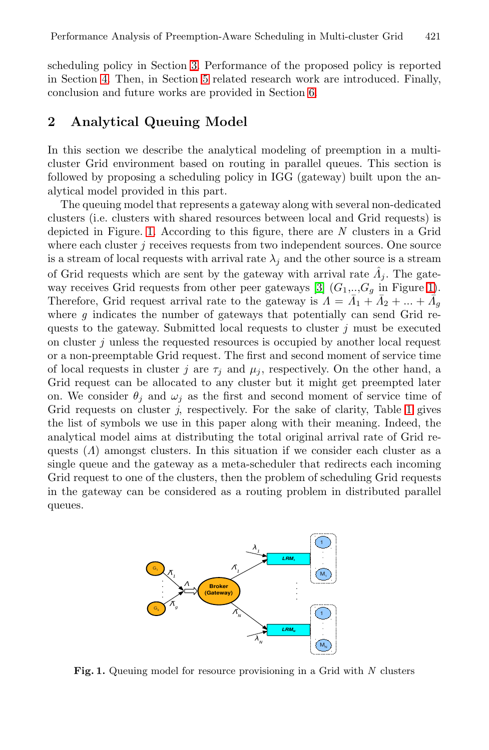scheduling policy in Section [3.](#page-5-0) Performance of the proposed policy is reported in Section [4.](#page-6-0) Then, in Section [5](#page-11-0) related research work are introduced. Finally, conclusion and future works are provided in Section [6.](#page-12-2)

## <span id="page-2-0"></span>**2 Analytical Queuing Model**

In this section we describe the analytical modeling of preemption in a multicluster Grid environment based on routing in parallel queues. This section is followed by proposing a scheduling policy in IGG (gateway) built upon the analytical model provided in this part.

The queuing model that represents a gateway along with several non-dedicated clusters (i.e. clusters with shared resources between local and Grid requests) is depicted in Figure. [1.](#page-2-1) According to this figure, there are *N* clusters in a Grid where each cluster *j* receives requests from two independent sources. One source is a stream of local requests with arrival rate  $\lambda_i$  and the other source is a stream of Grid requests which are sent by the gateway with arrival rate  $\hat{A}_j$ . The gate-way receives Grid requests from other peer gateways [\[3\]](#page-12-0)  $(G_1, ..., G_g)$  in Figure 1. Therefore, Grid request arrival rate to the gateway is  $\Lambda = \Lambda_1 + \Lambda_2 + ... + \Lambda_q$ where *g* indicates the number of gateways that potentially can send Grid requests to the gateway. Submitted local requests to cluster *j* must be executed on cluster *j* unless the requested resources is occupied by another local request or a non-preemptable Grid request. The first and second moment of service time of local requests in cluster *j* are  $\tau_i$  and  $\mu_i$ , respectively. On the other hand, a Grid request can be allocated to any cluster but it might get preempted later on. We consider  $\theta_j$  and  $\omega_j$  as the first and second moment of service time of Grid requests on cluster  $j$ , respectively. For the sake of clarity, Table [1](#page-3-0) gives the list of symbols we use in this paper along with their meaning. Indeed, the analytical model aims at distributing the total original arrival rate of Grid requests  $(\Lambda)$  amongst clusters. In this situation if we consider each cluster as a single queue and the gateway as a meta-scheduler that redirects each incoming Grid request to one of the clusters, then the problem of scheduling Grid requests in the gateway can be considered as a routing problem in distributed parallel queues.



<span id="page-2-1"></span>**Fig. 1.** Queuing model for resource provisioning in a Grid with *N* clusters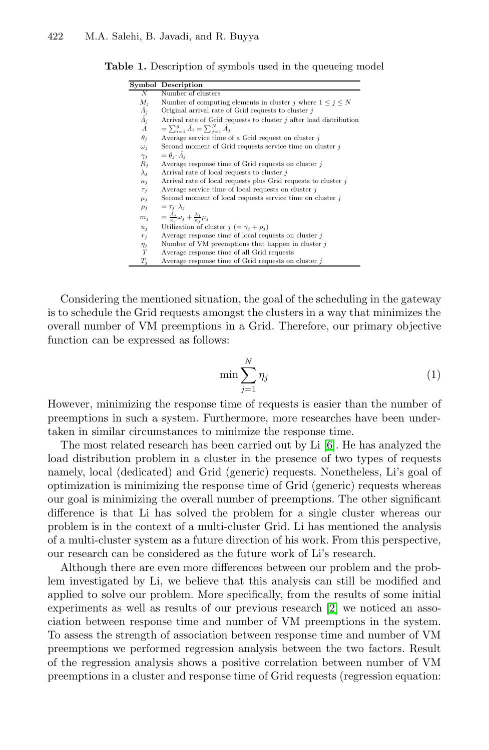**Table 1.** Description of symbols used in the queueing model

<span id="page-3-0"></span>

|                            | <b>Symbol Description</b>                                                 |
|----------------------------|---------------------------------------------------------------------------|
| Ν                          | Number of clusters                                                        |
| $M_i$                      | Number of computing elements in cluster j where $1 \leq j \leq N$         |
| $\bar{A}_j$<br>$\hat{A}_j$ | Original arrival rate of Grid requests to cluster $j$                     |
|                            | Arrival rate of Grid requests to cluster <i>i</i> after load distribution |
| $\Lambda$                  | $=\sum_{i=1}^{g} \bar{A}_i = \sum_{i=1}^{N} \hat{A}_i$                    |
| $\theta_i$                 | Average service time of a Grid request on cluster $j$                     |
| $\omega_i$                 | Second moment of Grid requests service time on cluster j                  |
| $\gamma_i$                 | $=\theta_i \cdot A_i$                                                     |
| $R_i$                      | Average response time of Grid requests on cluster $j$                     |
| $\lambda_i$                | Arrival rate of local requests to cluster j                               |
| $\kappa_i$                 | Arrival rate of local requests plus Grid requests to cluster j            |
| $\tau_i$                   | Average service time of local requests on cluster $j$                     |
| $\mu_j$                    | Second moment of local requests service time on cluster $j$               |
| $\rho_i$                   | $=\tau_i\cdot\lambda_i$                                                   |
| $m_i$                      | $=\frac{\tilde{A}_j}{\kappa_i}\omega_j+\frac{\lambda_j}{\kappa_i}\mu_j$   |
| $u_i$                      | Utilization of cluster $j (= \gamma_i + \rho_i)$                          |
| $r_i$                      | Average response time of local requests on cluster $j$                    |
| $\eta_i$                   | Number of VM preemptions that happen in cluster $j$                       |
| Т                          | Average response time of all Grid requests                                |
| $T_i$                      | Average response time of Grid requests on cluster $j$                     |

Considering the mentioned situation, the goal of the scheduling in the gateway is to schedule the Grid requests amongst the clusters in a way that minimizes the overall number of VM preemptions in a Grid. Therefore, our primary objective function can be expressed as follows:

$$
\min \sum_{j=1}^{N} \eta_j \tag{1}
$$

However, minimizing the response time of requests is easier than the number of preemptions in such a system. Furthermore, more researches have been undertaken in similar circumstances to minimize the response time.

The most related research has been carried out by Li [\[6\]](#page-13-3). He has analyzed the load distribution problem in a cluster in the presence of two types of requests namely, local (dedicated) and Grid (generic) requests. Nonetheless, Li's goal of optimization is minimizing the response time of Grid (generic) requests whereas our goal is minimizing the overall number of preemptions. The other significant difference is that Li has solved the problem for a single cluster whereas our problem is in the context of a multi-cluster Grid. Li has mentioned the analysis of a multi-cluster system as a future direction of his work. From this perspective, our research can be considered as the future work of Li's research.

Although there are even more differences between our problem and the problem investigated by Li, we believe that this analysis can still be modified and applied to solve our problem. More specifically, from the results of some initial experiments as well as results of our previous research [\[2\]](#page-12-1) we noticed an association between response time and number of VM preemptions in the system. To assess the strength of association between response time and number of VM preemptions we performed regression analysis between the two factors. Result of the regression analysis shows a positive correlation between number of VM preemptions in a cluster and response time of Grid requests (regression equation: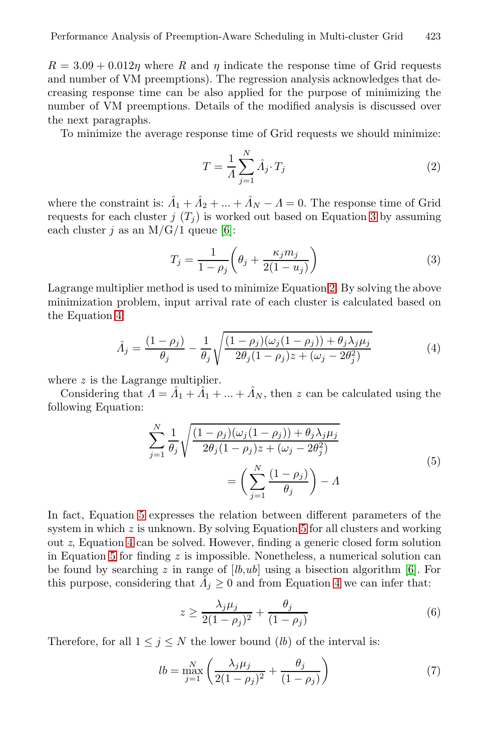$R = 3.09 + 0.012\eta$  where R and  $\eta$  indicate the response time of Grid requests and number of VM preemptions). The regression analysis acknowledges that decreasing response time can be also applied for the purpose of minimizing the number of VM preemptions. Details of the modified analysis is discussed over the next paragraphs.

To minimize the average response time of Grid requests we should minimize:

<span id="page-4-1"></span>
$$
T = \frac{1}{A} \sum_{j=1}^{N} \hat{A}_j \cdot T_j \tag{2}
$$

where the constraint is:  $\hat{A}_1 + \hat{A}_2 + ... + \hat{A}_N - A = 0$ . The response time of Grid requests for each cluster  $j(T_i)$  is worked out based on Equation [3](#page-4-0) by assuming each cluster *j* as an  $M/G/1$  queue [\[6\]](#page-13-3):

<span id="page-4-0"></span>
$$
T_j = \frac{1}{1 - \rho_j} \left( \theta_j + \frac{\kappa_j m_j}{2(1 - u_j)} \right) \tag{3}
$$

Lagrange multiplier method is used to minimize Equation [2.](#page-4-1) By solving the above minimization problem, input arrival rate of each cluster is calculated based on the Equation [4:](#page-4-2)

<span id="page-4-2"></span>
$$
\hat{\Lambda}_j = \frac{(1-\rho_j)}{\theta_j} - \frac{1}{\theta_j} \sqrt{\frac{(1-\rho_j)(\omega_j(1-\rho_j)) + \theta_j \lambda_j \mu_j}{2\theta_j(1-\rho_j)z + (\omega_j - 2\theta_j^2)}}
$$
(4)

where *z* is the Lagrange multiplier.

Considering that  $\Lambda = \hat{\Lambda}_1 + \hat{\Lambda}_1 + ... + \hat{\Lambda}_N$ , then *z* can be calculated using the following Equation:

<span id="page-4-3"></span>
$$
\sum_{j=1}^{N} \frac{1}{\theta_j} \sqrt{\frac{(1-\rho_j)(\omega_j(1-\rho_j)) + \theta_j \lambda_j \mu_j}{2\theta_j(1-\rho_j)z + (\omega_j - 2\theta_j^2)}}
$$

$$
= \left(\sum_{j=1}^{N} \frac{(1-\rho_j)}{\theta_j}\right) - A
$$
(5)

In fact, Equation [5](#page-4-3) expresses the relation between different parameters of the system in which *z* is unknown. By solving Equation [5](#page-4-3) for all clusters and working out *z*, Equation [4](#page-4-2) can be solved. However, finding a generic closed form solution in Equation [5](#page-4-3) for finding *z* is impossible. Nonetheless, a numerical solution can be found by searching *z* in range of [*lb*,*ub*] using a bisection algorithm [\[6\]](#page-13-3). For this purpose, considering that  $\Lambda_i \geq 0$  and from Equation [4](#page-4-2) we can infer that:

$$
z \ge \frac{\lambda_j \mu_j}{2(1 - \rho_j)^2} + \frac{\theta_j}{(1 - \rho_j)}
$$
(6)

Therefore, for all  $1 \leq j \leq N$  the lower bound (*lb*) of the interval is:

$$
lb = \max_{j=1}^{N} \left( \frac{\lambda_j \mu_j}{2(1-\rho_j)^2} + \frac{\theta_j}{(1-\rho_j)} \right)
$$
(7)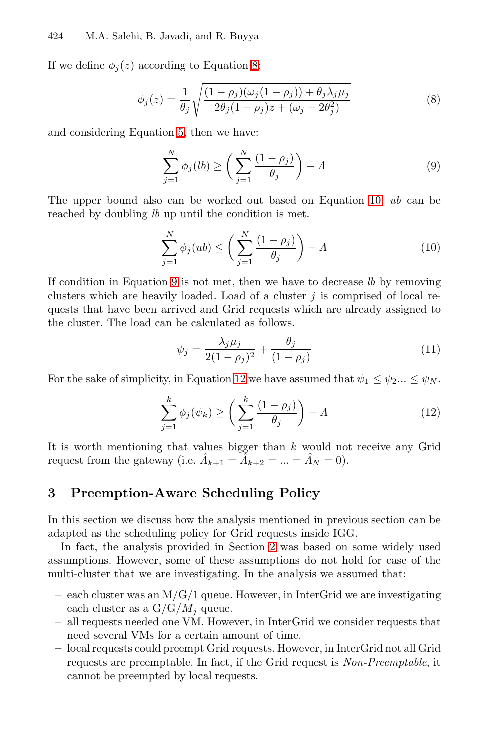If we define  $\phi_i(z)$  according to Equation [8:](#page-5-1)

<span id="page-5-1"></span>
$$
\phi_j(z) = \frac{1}{\theta_j} \sqrt{\frac{(1 - \rho_j)(\omega_j(1 - \rho_j)) + \theta_j \lambda_j \mu_j}{2\theta_j(1 - \rho_j)z + (\omega_j - 2\theta_j^2)}}
$$
(8)

and considering Equation [5,](#page-4-3) then we have:

<span id="page-5-3"></span>
$$
\sum_{j=1}^{N} \phi_j(lb) \ge \left(\sum_{j=1}^{N} \frac{(1-\rho_j)}{\theta_j}\right) - \Lambda
$$
\n(9)

The upper bound also can be worked out based on Equation [10.](#page-5-2) *ub* can be reached by doubling *lb* up until the condition is met.

<span id="page-5-2"></span>
$$
\sum_{j=1}^{N} \phi_j(ub) \le \left(\sum_{j=1}^{N} \frac{(1-\rho_j)}{\theta_j}\right) - A \tag{10}
$$

If condition in Equation [9](#page-5-3) is not met, then we have to decrease *lb* by removing clusters which are heavily loaded. Load of a cluster *j* is comprised of local requests that have been arrived and Grid requests which are already assigned to the cluster. The load can be calculated as follows.

<span id="page-5-4"></span>
$$
\psi_j = \frac{\lambda_j \mu_j}{2(1 - \rho_j)^2} + \frac{\theta_j}{(1 - \rho_j)}
$$
\n(11)

For the sake of simplicity, in Equation [12](#page-5-4) we have assumed that  $\psi_1 \leq \psi_2 ... \leq \psi_N$ .

$$
\sum_{j=1}^{k} \phi_j(\psi_k) \ge \left(\sum_{j=1}^{k} \frac{(1-\rho_j)}{\theta_j}\right) - A \tag{12}
$$

It is worth mentioning that values bigger than *k* would not receive any Grid request from the gateway (i.e.  $\hat{A}_{k+1} = \hat{A}_{k+2} = ... = \hat{A}_N = 0$ ).

## <span id="page-5-0"></span>**3 Preemption-Aware Scheduling Policy**

In this section we discuss how the analysis mentioned in previous section can be adapted as the scheduling policy for Grid requests inside IGG.

In fact, the analysis provided in Section [2](#page-2-0) was based on some widely used assumptions. However, some of these assumptions do not hold for case of the multi-cluster that we are investigating. In the analysis we assumed that:

- **–** each cluster was an M/G/1 queue. However, in InterGrid we are investigating each cluster as a  $G/G/M_i$  queue.
- **–** all requests needed one VM. However, in InterGrid we consider requests that need several VMs for a certain amount of time.
- **–** local requests could preempt Grid requests. However, in InterGrid not all Grid requests are preemptable. In fact, if the Grid request is *Non-Preemptable*, it cannot be preempted by local requests.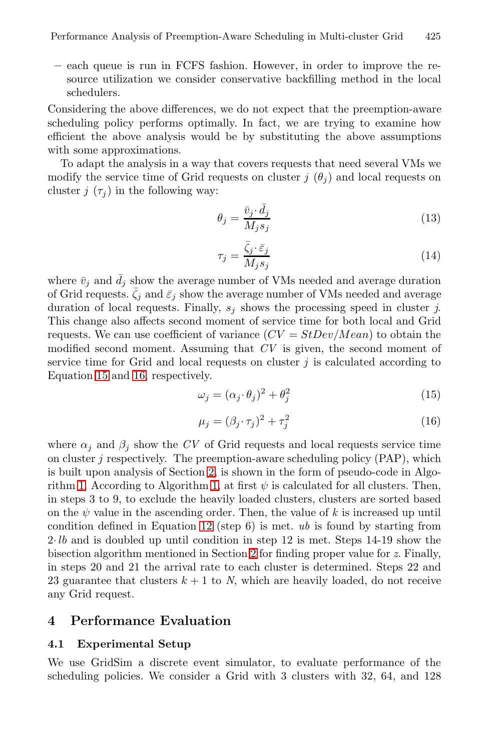**–** each queue is run in FCFS fashion. However, in order to improve the resource utilization we consider conservative backfilling method in the local schedulers.

Considering the above differences, we do not expect that the preemption-aware scheduling policy performs optimally. In fact, we are trying to examine how efficient the above analysis would be by substituting the above assumptions with some approximations.

To adapt the analysis in a way that covers requests that need several VMs we modify the service time of Grid requests on cluster *j*  $(\theta_i)$  and local requests on cluster  $j(\tau_i)$  in the following way:

$$
\theta_j = \frac{\bar{v}_j \cdot \bar{d}_j}{M_j s_j} \tag{13}
$$

$$
\tau_j = \frac{\bar{\zeta}_j \cdot \bar{\varepsilon}_j}{M_j s_j} \tag{14}
$$

where  $\bar{v}_j$  and  $\bar{d}_j$  show the average number of VMs needed and average duration<br>of Grid negative  $\bar{\xi}$  and  $\bar{\xi}$  about the average number of VMs needed and average of Grid requests.  $\bar{\zeta}_j$  and  $\bar{\varepsilon}_j$  show the average number of VMs needed and average duration of local requests. Finally,  $s_j$  shows the processing speed in cluster *j*. This change also affects second moment of service time for both local and Grid requests. We can use coefficient of variance  $(CV = StDev/Mean)$  to obtain the modified second moment. Assuming that *CV* is given, the second moment of service time for Grid and local requests on cluster *j* is calculated according to Equation [15](#page-6-1) and [16,](#page-6-2) respectively.

<span id="page-6-1"></span>
$$
\omega_j = (\alpha_j \cdot \theta_j)^2 + \theta_j^2 \tag{15}
$$

$$
\mu_j = (\beta_j \cdot \tau_j)^2 + \tau_j^2 \tag{16}
$$

<span id="page-6-2"></span>where  $\alpha_j$  and  $\beta_j$  show the *CV* of Grid requests and local requests service time on cluster  $j$  respectively. The preemption-aware scheduling policy  $(PAP)$ , which is built upon analysis of Section [2,](#page-2-0) is shown in the form of pseudo-code in Algo-rithm [1.](#page-7-0) According to Algorithm [1,](#page-7-0) at first  $\psi$  is calculated for all clusters. Then, in steps 3 to 9, to exclude the heavily loaded clusters, clusters are sorted based on the  $\psi$  value in the ascending order. Then, the value of  $k$  is increased up until condition defined in Equation [12](#page-5-4) (step 6) is met. *ub* is found by starting from <sup>2</sup>· lb and is doubled up until condition in step 12 is met. Steps 14-19 show the bisection algorithm mentioned in Section [2](#page-2-0) for finding proper value for *z*. Finally, in steps 20 and 21 the arrival rate to each cluster is determined. Steps 22 and 23 guarantee that clusters  $k + 1$  to N, which are heavily loaded, do not receive any Grid request.

## <span id="page-6-0"></span>**4 Performance Evaluation**

#### **4.1 Experimental Setup**

We use GridSim a discrete event simulator, to evaluate performance of the scheduling policies. We consider a Grid with 3 clusters with 32, 64, and 128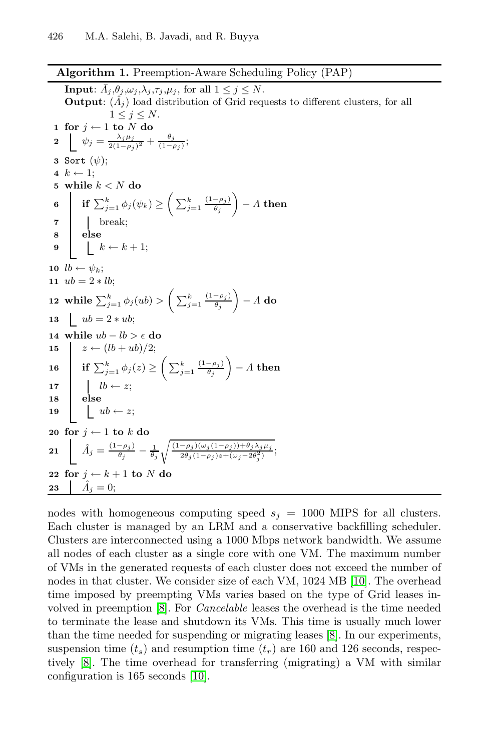### **Algorithm 1.** Preemption-Aware Scheduling Policy (PAP)

**Input**:  $\bar{A}_j$ , $\theta_j$ , $\omega_j$ , $\lambda_j$ , $\tau_j$ , $\mu_j$ , for all  $1 \leq j \leq N$ . **Output**:  $(\hat{A}_i)$  load distribution of Grid requests to different clusters, for all  $1 \leq j \leq N$ . **1** for  $j \leftarrow 1$  to  $N$  do **2**  $\psi_j = \frac{\lambda_j \mu_j}{2(1-\rho_j)^2} + \frac{\sigma_j}{(1-\rho_j)};$ **3** Sort  $(\psi)$ ;  $4 \; k \leftarrow 1;$ **5** while  $k < N$  do **6 if**  $\sum_{j=1}^{k} \phi_j(\psi_k) \ge \left(\sum_{j=1}^{k} \frac{(1-\rho_j)}{\theta_j}\right)$ θ*j*  $- A$  **then 7** break; **8 else 9**  $k \leftarrow k + 1;$ 10  $lb \leftarrow \psi_k$ ; 11  $ub = 2 * lb$ ; **12 while**  $\sum_{j=1}^{k} \phi_j(ub) > \left(\sum_{j=1}^{k} \frac{(1-\rho_j)}{\theta_j}\right)$ θ*j* − Λ **do 13**  $ub = 2 * ub;$ **14 while**  $ub - lb > ε$  **do** 15  $z \leftarrow (lb + ub)/2;$ **16 if**  $\sum_{j=1}^{k} \phi_j(z) \ge \left(\sum_{j=1}^{k} \frac{(1-\rho_j)}{\theta_j}\right)$ θ*j*  $- A$  **then 17** lb ← z; **18 else** 19  $\vert \quad \vert \quad ub \leftarrow z;$ **20 for**  $j \leftarrow 1$  **to**  $k$  **do 21**  $\hat{A}_j = \frac{(1-\rho_j)}{\theta_j} - \frac{1}{\theta_j}$  $\sqrt{\frac{(1-\rho_j)(\omega_j(1-\rho_j))+\theta_j\lambda_j\mu_j(1-\rho_j)}{20(1-\omega_j(1-\rho_j))}}$ <sup>2</sup>θ*<sup>j</sup>* (1*−*ρ*<sup>j</sup>* )z+(ω*j−*2θ<sup>2</sup> *<sup>j</sup>* ) ; **22** for  $j \leftarrow k+1$  to N do **23**  $A_j = 0;$ 

<span id="page-7-0"></span>nodes with homogeneous computing speed  $s_i = 1000$  MIPS for all clusters. Each cluster is managed by an LRM and a conservative backfilling scheduler. Clusters are interconnected using a 1000 Mbps network bandwidth. We assume all nodes of each cluster as a single core with one VM. The maximum number of VMs in the generated requests of each cluster does not exceed the number of nodes in that cluster. We consider size of each VM, 1024 MB [\[10\]](#page-13-4). The overhead time imposed by preempting VMs varies based on the type of Grid leases involved in preemption [\[8\]](#page-13-1). For *Cancelable* leases the overhead is the time needed to terminate the lease and shutdown its VMs. This time is usually much lower than the time needed for suspending or migrating leases [\[8\]](#page-13-1). In our experiments, suspension time  $(t<sub>s</sub>)$  and resumption time  $(t<sub>r</sub>)$  are 160 and 126 seconds, respectively [\[8\]](#page-13-1). The time overhead for transferring (migrating) a VM with similar configuration is 165 seconds [\[10\]](#page-13-4).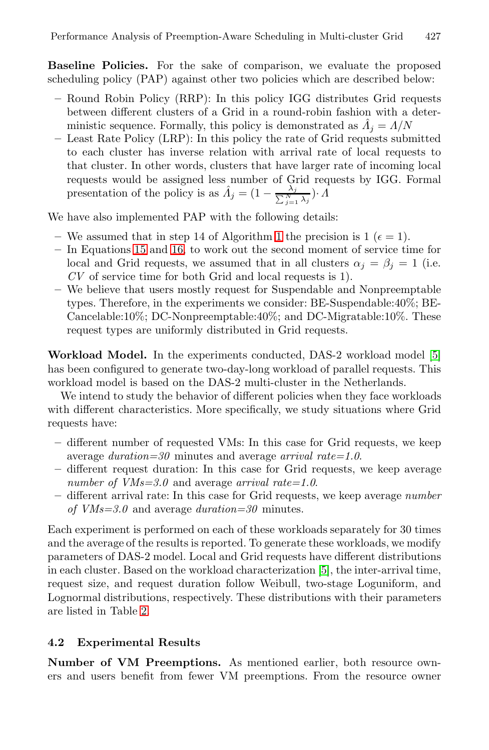**Baseline Policies.** For the sake of comparison, we evaluate the proposed scheduling policy (PAP) against other two policies which are described below:

- **–** Round Robin Policy (RRP): In this policy IGG distributes Grid requests between different clusters of a Grid in a round-robin fashion with a deterministic sequence. Formally, this policy is demonstrated as  $\Lambda_i = \Lambda/N$
- **–** Least Rate Policy (LRP): In this policy the rate of Grid requests submitted to each cluster has inverse relation with arrival rate of local requests to that cluster. In other words, clusters that have larger rate of incoming local requests would be assigned less number of Grid requests by IGG. Formal presentation of the policy is as  $\hat{A}_j = (1 - \frac{1}{\sum_{j=1}^{n} A_j})$  $\frac{\lambda_j}{\sum_{j=1}^N \lambda_j}$ )·  $\Lambda$

We have also implemented PAP with the following details:

- We assumed that in step [1](#page-7-0)4 of Algorithm 1 the precision is  $1 \ (\epsilon = 1)$ .
- **–** In Equations [15](#page-6-1) and [16,](#page-6-2) to work out the second moment of service time for local and Grid requests, we assumed that in all clusters  $\alpha_j = \beta_j = 1$  (i.e. *CV* of service time for both Grid and local requests is 1).
- **–** We believe that users mostly request for Suspendable and Nonpreemptable types. Therefore, in the experiments we consider: BE-Suspendable:40%; BE-Cancelable:10%; DC-Nonpreemptable:40%; and DC-Migratable:10%. These request types are uniformly distributed in Grid requests.

**Workload Model.** In the experiments conducted, DAS-2 workload model [\[5\]](#page-13-0) has been configured to generate two-day-long workload of parallel requests. This workload model is based on the DAS-2 multi-cluster in the Netherlands.

We intend to study the behavior of different policies when they face workloads with different characteristics. More specifically, we study situations where Grid requests have:

- **–** different number of requested VMs: In this case for Grid requests, we keep average *duration=30* minutes and average *arrival rate=1.0*.
- **–** different request duration: In this case for Grid requests, we keep average *number of VMs=3.0* and average *arrival rate=1.0*.
- **–** different arrival rate: In this case for Grid requests, we keep average *number of VMs=3.0* and average *duration=30* minutes.

Each experiment is performed on each of these workloads separately for 30 times and the average of the results is reported. To generate these workloads, we modify parameters of DAS-2 model. Local and Grid requests have different distributions in each cluster. Based on the workload characterization [\[5\]](#page-13-0), the inter-arrival time, request size, and request duration follow Weibull, two-stage Loguniform, and Lognormal distributions, respectively. These distributions with their parameters are listed in Table [2.](#page-9-0)

### **4.2 Experimental Results**

**Number of VM Preemptions.** As mentioned earlier, both resource owners and users benefit from fewer VM preemptions. From the resource owner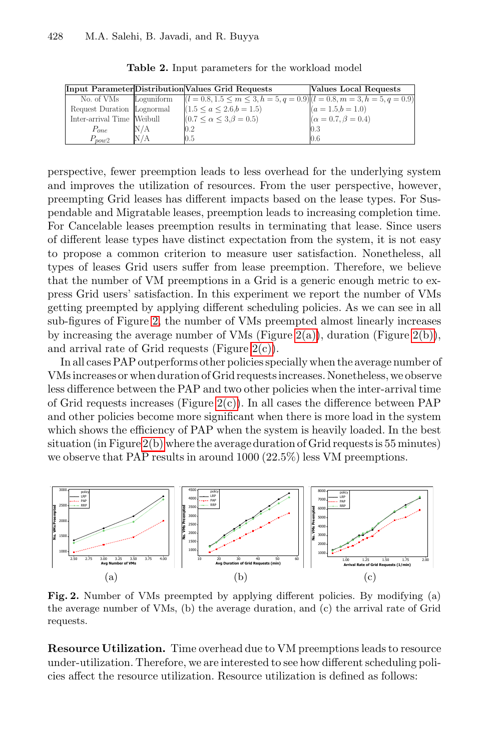|                            |            | <b>Input ParameterDistributionValues Grid Requests</b>                            | Values Local Requests         |
|----------------------------|------------|-----------------------------------------------------------------------------------|-------------------------------|
| No. of VMs                 | Loguniform | $[(l = 0.8, 1.5 \le m \le 3, h = 5, q = 0.9)]$ $(l = 0.8, m = 3, h = 5, q = 0.9)$ |                               |
| Request Duration Lognormal |            | $(1.5 \le a \le 2.6, b = 1.5)$                                                    | $(a = 1.5, b = 1.0)$          |
| Inter-arrival Time Weibull |            | $(0.7 \le \alpha \le 3.6 = 0.5)$                                                  | $(\alpha = 0.7, \beta = 0.4)$ |
| $P_{one}$                  | N/A        | $0.2\,$                                                                           | 0.3                           |
| $P_{now2}$                 | N/A        | 0.5                                                                               | 0.6                           |
|                            |            |                                                                                   |                               |

<span id="page-9-0"></span>**Table 2.** Input parameters for the workload model

perspective, fewer preemption leads to less overhead for the underlying system and improves the utilization of resources. From the user perspective, however, preempting Grid leases has different impacts based on the lease types. For Suspendable and Migratable leases, preemption leads to increasing completion time. For Cancelable leases preemption results in terminating that lease. Since users of different lease types have distinct expectation from the system, it is not easy to propose a common criterion to measure user satisfaction. Nonetheless, all types of leases Grid users suffer from lease preemption. Therefore, we believe that the number of VM preemptions in a Grid is a generic enough metric to express Grid users' satisfaction. In this experiment we report the number of VMs getting preempted by applying different scheduling policies. As we can see in all sub-figures of Figure [2,](#page-9-1) the number of VMs preempted almost linearly increases by increasing the average number of VMs (Figure [2\(a\)\)](#page-9-2), duration (Figure [2\(b\)\)](#page-9-3), and arrival rate of Grid requests (Figure  $2(c)$ ).

In all cases PAP outperforms other policies specially when the average number of VMs increases or when duration of Grid requests increases. Nonetheless, we observe less difference between the PAP and two other policies when the inter-arrival time of Grid requests increases (Figure  $2(c)$ ). In all cases the difference between PAP and other policies become more significant when there is more load in the system which shows the efficiency of PAP when the system is heavily loaded. In the best situation (in Figure [2\(b\)](#page-9-3) where the average duration of Grid requests is 55 minutes) we observe that PAP results in around 1000 (22.5%) less VM preemptions.

<span id="page-9-2"></span>

<span id="page-9-4"></span><span id="page-9-3"></span><span id="page-9-1"></span>**Fig. 2.** Number of VMs preempted by applying different policies. By modifying (a) the average number of VMs, (b) the average duration, and (c) the arrival rate of Grid requests.

**Resource Utilization.** Time overhead due to VM preemptions leads to resource under-utilization. Therefore, we are interested to see how different scheduling policies affect the resource utilization. Resource utilization is defined as follows: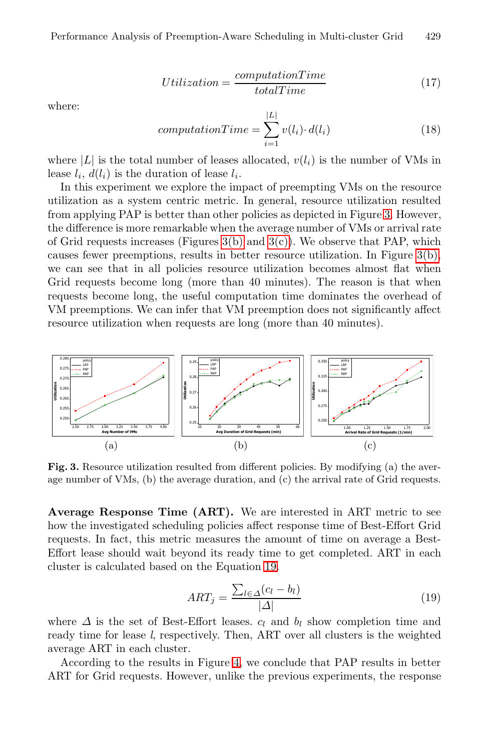$$
Utilization = \frac{computationTime}{totalTime}
$$
\n(17)

where:

$$
computationTime = \sum_{i=1}^{|L|} v(l_i) \cdot d(l_i)
$$
\n(18)

where  $|L|$  is the total number of leases allocated,  $v(l_i)$  is the number of VMs in lease  $l_i$ ,  $d(l_i)$  is the duration of lease  $l_i$ .

In this experiment we explore the impact of preempting VMs on the resource utilization as a system centric metric. In general, resource utilization resulted from applying PAP is better than other policies as depicted in Figure [3.](#page-10-0) However, the difference is more remarkable when the average number of VMs or arrival rate of Grid requests increases (Figures  $3(b)$  and  $3(c)$ ). We observe that PAP, which causes fewer preemptions, results in better resource utilization. In Figure [3\(b\),](#page-10-1) we can see that in all policies resource utilization becomes almost flat when Grid requests become long (more than 40 minutes). The reason is that when requests become long, the useful computation time dominates the overhead of VM preemptions. We can infer that VM preemption does not significantly affect resource utilization when requests are long (more than 40 minutes).



<span id="page-10-1"></span><span id="page-10-0"></span>**Fig. 3.** Resource utilization resulted from different policies. By modifying (a) the average number of VMs, (b) the average duration, and (c) the arrival rate of Grid requests.

**Average Response Time (ART).** We are interested in ART metric to see how the investigated scheduling policies affect response time of Best-Effort Grid requests. In fact, this metric measures the amount of time on average a Best-Effort lease should wait beyond its ready time to get completed. ART in each cluster is calculated based on the Equation [19.](#page-10-3)

<span id="page-10-3"></span><span id="page-10-2"></span>
$$
ART_j = \frac{\sum_{l \in \Delta} (c_l - b_l)}{|\Delta|} \tag{19}
$$

where  $\Delta$  is the set of Best-Effort leases.  $c_l$  and  $b_l$  show completion time and ready time for lease *l*, respectively. Then, ART over all clusters is the weighted average ART in each cluster.

According to the results in Figure [4,](#page-11-1) we conclude that PAP results in better ART for Grid requests. However, unlike the previous experiments, the response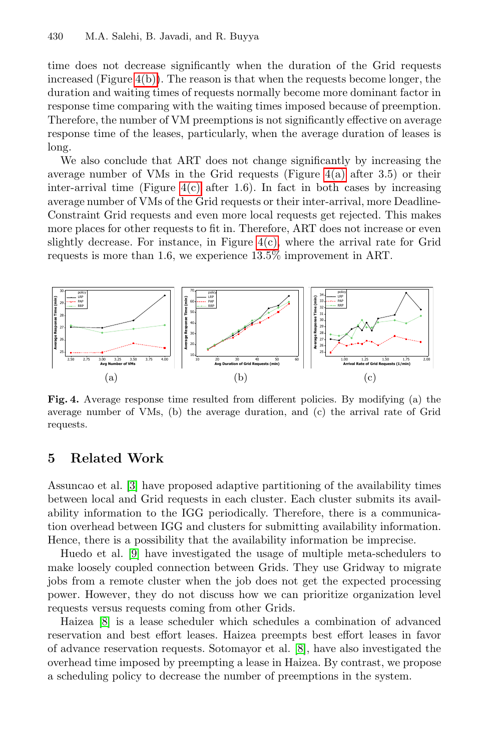time does not decrease significantly when the duration of the Grid requests increased (Figure  $4(b)$ ). The reason is that when the requests become longer, the duration and waiting times of requests normally become more dominant factor in response time comparing with the waiting times imposed because of preemption. Therefore, the number of VM preemptions is not significantly effective on average response time of the leases, particularly, when the average duration of leases is long.

We also conclude that ART does not change significantly by increasing the average number of VMs in the Grid requests (Figure  $4(a)$  after 3.5) or their inter-arrival time (Figure  $4(c)$  after 1.6). In fact in both cases by increasing average number of VMs of the Grid requests or their inter-arrival, more Deadline-Constraint Grid requests and even more local requests get rejected. This makes more places for other requests to fit in. Therefore, ART does not increase or even slightly decrease. For instance, in Figure  $4(c)$ , where the arrival rate for Grid requests is more than 1.6, we experience 13.5% improvement in ART.

<span id="page-11-3"></span>

<span id="page-11-4"></span><span id="page-11-2"></span><span id="page-11-1"></span>**Fig. 4.** Average response time resulted from different policies. By modifying (a) the average number of VMs, (b) the average duration, and (c) the arrival rate of Grid requests.

## <span id="page-11-0"></span>**5 Related Work**

Assuncao et al. [\[3\]](#page-12-0) have proposed adaptive partitioning of the availability times between local and Grid requests in each cluster. Each cluster submits its availability information to the IGG periodically. Therefore, there is a communication overhead between IGG and clusters for submitting availability information. Hence, there is a possibility that the availability information be imprecise.

Huedo et al. [\[9\]](#page-13-5) have investigated the usage of multiple meta-schedulers to make loosely coupled connection between Grids. They use Gridway to migrate jobs from a remote cluster when the job does not get the expected processing power. However, they do not discuss how we can prioritize organization level requests versus requests coming from other Grids.

Haizea [\[8\]](#page-13-1) is a lease scheduler which schedules a combination of advanced reservation and best effort leases. Haizea preempts best effort leases in favor of advance reservation requests. Sotomayor et al. [\[8\]](#page-13-1), have also investigated the overhead time imposed by preempting a lease in Haizea. By contrast, we propose a scheduling policy to decrease the number of preemptions in the system.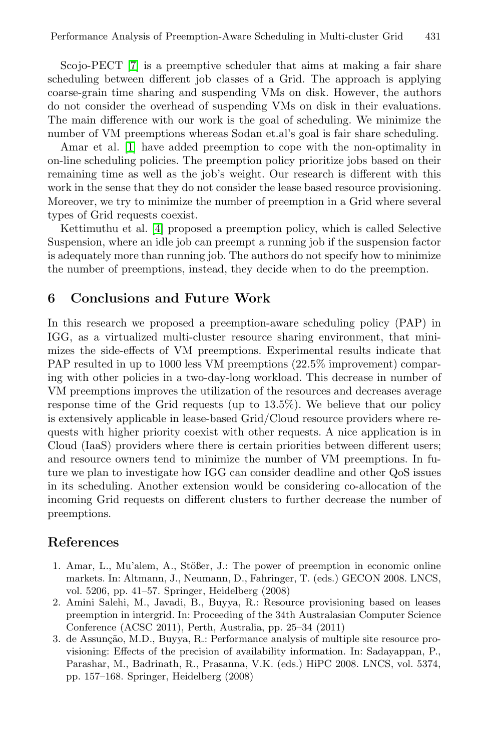Scojo-PECT [\[7\]](#page-13-6) is a preemptive scheduler that aims at making a fair share scheduling between different job classes of a Grid. The approach is applying coarse-grain time sharing and suspending VMs on disk. However, the authors do not consider the overhead of suspending VMs on disk in their evaluations. The main difference with our work is the goal of scheduling. We minimize the number of VM preemptions whereas Sodan et.al's goal is fair share scheduling.

Amar et al. [\[1\]](#page-12-3) have added preemption to cope with the non-optimality in on-line scheduling policies. The preemption policy prioritize jobs based on their remaining time as well as the job's weight. Our research is different with this work in the sense that they do not consider the lease based resource provisioning. Moreover, we try to minimize the number of preemption in a Grid where several types of Grid requests coexist.

Kettimuthu et al. [\[4\]](#page-13-7) proposed a preemption policy, which is called Selective Suspension, where an idle job can preempt a running job if the suspension factor is adequately more than running job. The authors do not specify how to minimize the number of preemptions, instead, they decide when to do the preemption.

## <span id="page-12-2"></span>**6 Conclusions and Future Work**

In this research we proposed a preemption-aware scheduling policy (PAP) in IGG, as a virtualized multi-cluster resource sharing environment, that minimizes the side-effects of VM preemptions. Experimental results indicate that PAP resulted in up to 1000 less VM preemptions (22.5% improvement) comparing with other policies in a two-day-long workload. This decrease in number of VM preemptions improves the utilization of the resources and decreases average response time of the Grid requests (up to 13.5%). We believe that our policy is extensively applicable in lease-based Grid/Cloud resource providers where requests with higher priority coexist with other requests. A nice application is in Cloud (IaaS) providers where there is certain priorities between different users; and resource owners tend to minimize the number of VM preemptions. In future we plan to investigate how IGG can consider deadline and other QoS issues in its scheduling. Another extension would be considering co-allocation of the incoming Grid requests on different clusters to further decrease the number of preemptions.

## <span id="page-12-3"></span>**References**

- 1. Amar, L., Mu'alem, A., Stößer, J.: The power of preemption in economic online markets. In: Altmann, J., Neumann, D., Fahringer, T. (eds.) GECON 2008. LNCS, vol. 5206, pp. 41–57. Springer, Heidelberg (2008)
- <span id="page-12-1"></span>2. Amini Salehi, M., Javadi, B., Buyya, R.: Resource provisioning based on leases preemption in intergrid. In: Proceeding of the 34th Australasian Computer Science Conference (ACSC 2011), Perth, Australia, pp. 25–34 (2011)
- <span id="page-12-0"></span>3. de Assunção, M.D., Buyya, R.: Performance analysis of multiple site resource provisioning: Effects of the precision of availability information. In: Sadayappan, P., Parashar, M., Badrinath, R., Prasanna, V.K. (eds.) HiPC 2008. LNCS, vol. 5374, pp. 157–168. Springer, Heidelberg (2008)